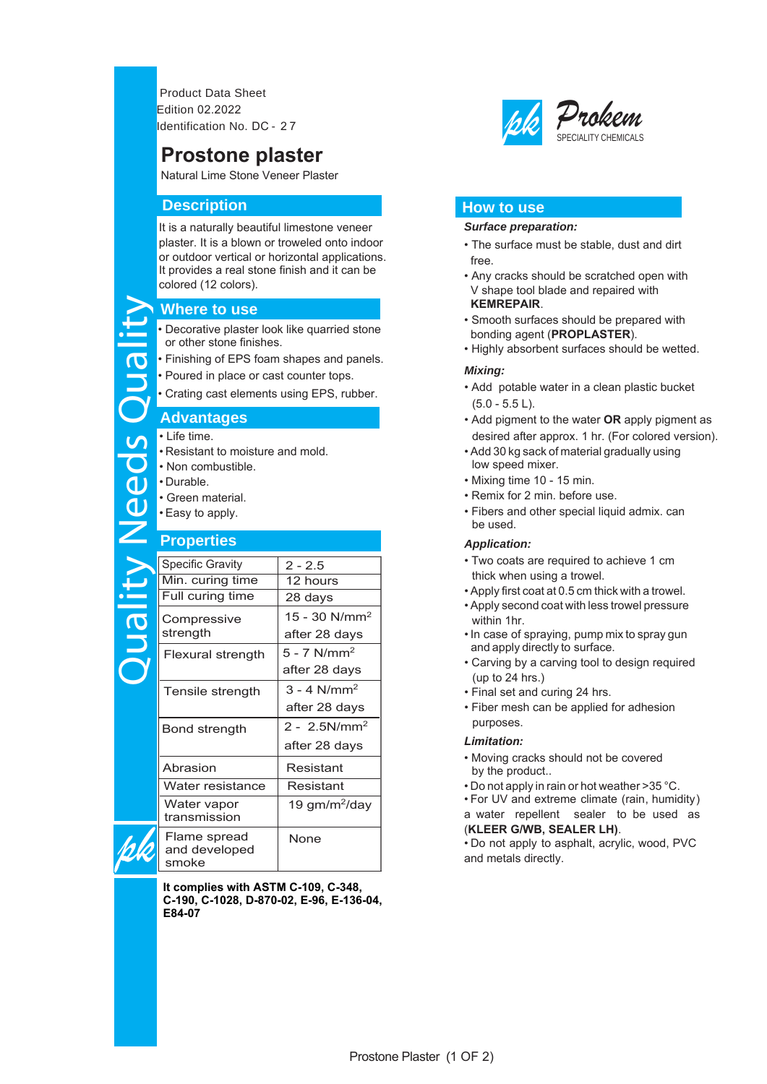Product Data Sheet Edition 02.2022 Identification No. DC - 2 7

# **Prostone plaster**

Natural Lime Stone Veneer Plaster

# **Description**

It is a naturally beautiful limestone veneer plaster. It is a blown or troweled onto indoor or outdoor vertical or horizontal applications. It provides a real stone finish and it can be colored (12 colors).

## **Where to use**

# **Advantages**

- Resistant to moisture and mold.
- Non combustible.
- Durable.
- Green material.
- Easy to apply.

# **Properties**

| <b>Where to use</b> |                                                                                                                                 |                             |  |
|---------------------|---------------------------------------------------------------------------------------------------------------------------------|-----------------------------|--|
| E                   | • Decorative plaster look like quarried stone<br>or other stone finishes.                                                       |                             |  |
|                     | • Finishing of EPS foam shapes and panels                                                                                       |                             |  |
|                     | • Poured in place or cast counter tops.                                                                                         |                             |  |
| <b>BNO</b>          | • Crating cast elements using EPS, rubber.                                                                                      |                             |  |
|                     | <b>Advantages</b>                                                                                                               |                             |  |
| Needs               | • I ife time.<br>. Resistant to moisture and mold.<br>• Non combustible.<br>• Durable.<br>• Green material.<br>• Easy to apply. |                             |  |
| <b>Properties</b>   |                                                                                                                                 |                             |  |
|                     | <b>Specific Gravity</b>                                                                                                         | $2 - 2.5$                   |  |
|                     | Min. curing time                                                                                                                | 12 hours                    |  |
|                     | Full curing time                                                                                                                | 28 days                     |  |
| <b>QIIP</b>         | Compressive                                                                                                                     | $15 - 30$ N/mm <sup>2</sup> |  |
|                     | strength                                                                                                                        | after 28 days               |  |
|                     | Flexural strength                                                                                                               | $5 - 7$ N/mm <sup>2</sup>   |  |
|                     |                                                                                                                                 | after 28 days               |  |
|                     | Tensile strength                                                                                                                | $3 - 4$ N/mm <sup>2</sup>   |  |
|                     |                                                                                                                                 | after 28 days               |  |
|                     | Bond strength                                                                                                                   | $2 - 2.5N/mm2$              |  |
|                     |                                                                                                                                 | after 28 days               |  |
|                     | Abrasion                                                                                                                        | Resistant                   |  |
|                     | Water resistance                                                                                                                | Resistant                   |  |
|                     | Water vapor<br>transmission                                                                                                     | 19 gm/m <sup>2</sup> /day   |  |
|                     | Flame spread<br>and developed<br>smoke                                                                                          | None                        |  |

**It complies with ASTM C-109, C-348, C-190, C-1028, D-870-02, E-96, E-136-04, E84-07**



# **How to use**

#### *Surface preparation:*

- The surface must be stable, dust and dirt free .
- Any cracks should be scratched open with V shape tool blade and repaired with
- Smooth surfaces should be prepared with bonding agent (**PROPLASTER**).
- Highly absorbent surfaces should be wetted.

### *Mixing:*

- Add potable water in a clean plastic bucket (5.0 - 5.5 L) .
- • Add pigment to the water **OR** apply pigment as desired after approx. 1 hr. (For colored version).
- • Add 30 kg sack of material gradually using low speed mixer.
- Mixing time 10 15 min.
- Remix for 2 min. before use.
- • Fibers and other special liquid admix. can be used.

### *Application:*

- • Two coats are required to achieve 1 cm thick when using a trowel.
- Apply first coat at 0.5 cm thick with a trowel.
- • Apply second coat with less trowel pressure within 1hr.
- • In case of spraying, pump mix to spray gun and apply directly to surface.
- • Carving by a carving tool to design required (up to 24 hrs.)
- Final set and curing 24 hrs.
- purposes. • Fiber mesh can be applied for adhesion

## *Limitation:*

- • Moving cracks should not be covered by the product..
- Do not apply in rain or hot weather >35 °C.
- For UV and extreme climate (rain, humidity) a water repellent sealer to be used as

# (**KLEER G/WB, SEALER LH)**.

• Do not apply to asphalt, acrylic, wood, PVC and metals directly.